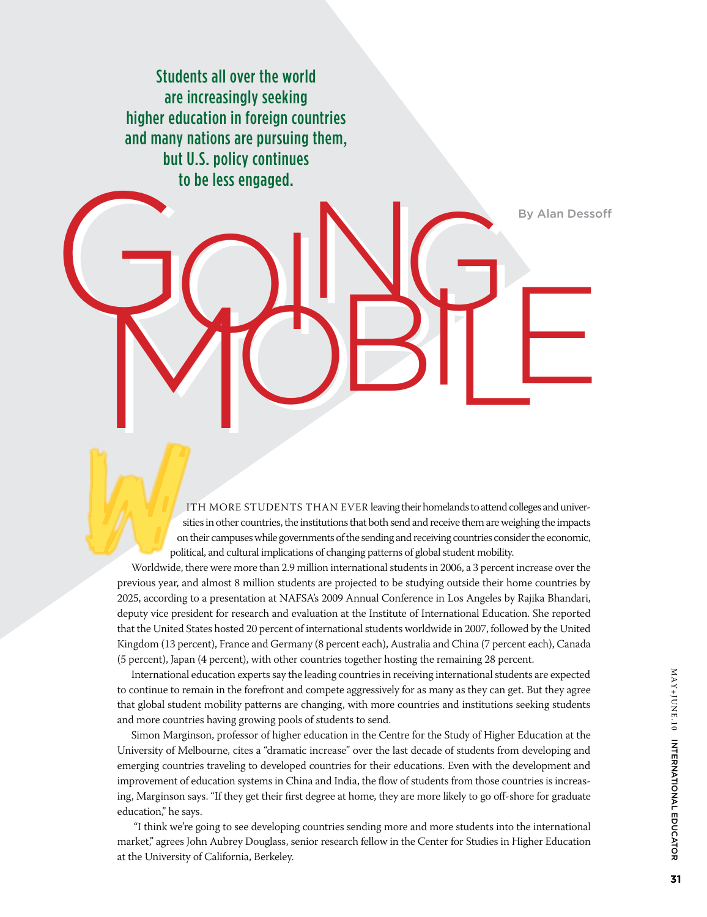Students all over the world are increasingly seeking higher education in foreign countries and many nations are pursuing them, but U.S. policy continues to be less engaged. GOILS RESERVED Golde less engaged. RANGE

ITH MORE STUDENTS THAN EVER leaving their homelands to attend colleges and universities in other countries, the institutions that both send and receive them are weighing the impacts on their campuses while governments of the sending and receiving countries consider the economic, political, and cultural implications of changing patterns of global student mobility.

Worldwide, there were more than 2.9 million international students in 2006, a 3 percent increase over the previous year, and almost 8 million students are projected to be studying outside their home countries by 2025, according to a presentation at NAFSA's 2009 Annual Conference in Los Angeles by Rajika Bhandari, deputy vice president for research and evaluation at the Institute of International Education. She reported that the United States hosted 20 percent of international students worldwide in 2007, followed by the United Kingdom (13 percent), France and Germany (8 percent each), Australia and China (7 percent each), Canada (5 percent), Japan (4 percent), with other countries together hosting the remaining 28 percent.

International education experts say the leading countries in receiving international students are expected to continue to remain in the forefront and compete aggressively for as many as they can get. But they agree that global student mobility patterns are changing, with more countries and institutions seeking students and more countries having growing pools of students to send.

Simon Marginson, professor of higher education in the Centre for the Study of Higher Education at the University of Melbourne, cites a "dramatic increase" over the last decade of students from developing and emerging countries traveling to developed countries for their educations. Even with the development and improvement of education systems in China and India, the flow of students from those countries is increasing, Marginson says. "If they get their first degree at home, they are more likely to go off-shore for graduate education," he says.

 "I think we're going to see developing countries sending more and more students into the international market," agrees John Aubrey Douglass, senior research fellow in the Center for Studies in Higher Education at the University of California, Berkeley.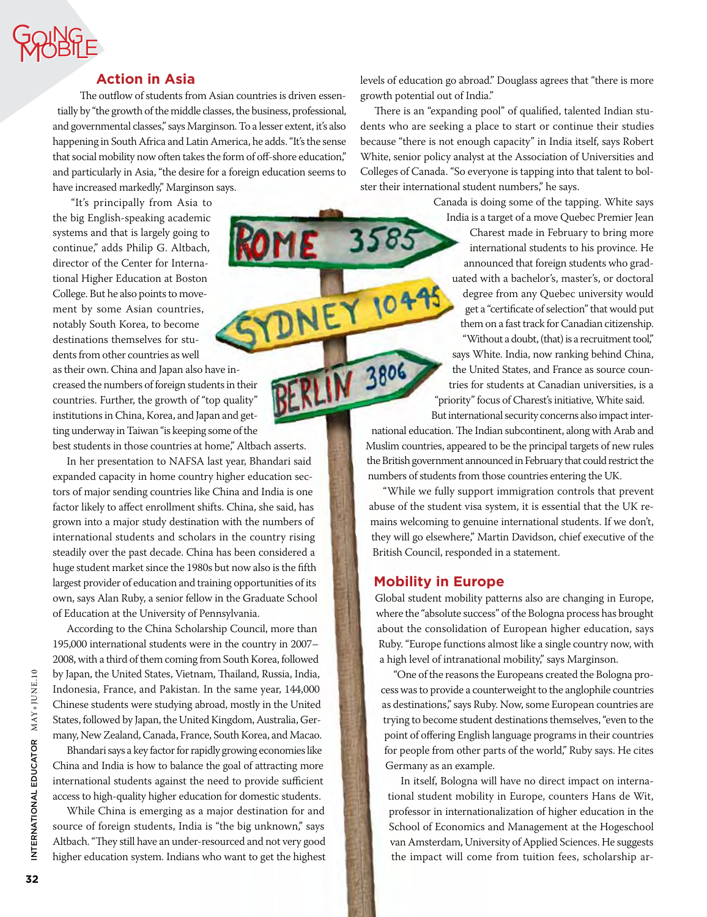# Goi ng Mobile Goi **PROBILE**

### **Action in Asia**

The outflow of students from Asian countries is driven essentially by "the growth of the middle classes, the business, professional, and governmental classes," says Marginson. To a lesser extent, it's also happening in South Africa and Latin America, he adds. "It's the sense that social mobility now often takes the form of off-shore education," and particularly in Asia, "the desire for a foreign education seems to have increased markedly," Marginson says.

 "It's principally from Asia to the big English-speaking academic systems and that is largely going to continue," adds Philip G. Altbach, director of the Center for International Higher Education at Boston College. But he also points to movement by some Asian countries, notably South Korea, to become destinations themselves for students from other countries as well

as their own. China and Japan also have increased the numbers of foreign students in their countries. Further, the growth of "top quality" institutions in China, Korea, and Japan and getting underway in Taiwan "is keeping some of the best students in those countries at home," Altbach asserts.

In her presentation to NAFSA last year, Bhandari said expanded capacity in home country higher education sectors of major sending countries like China and India is one factor likely to affect enrollment shifts. China, she said, has grown into a major study destination with the numbers of international students and scholars in the country rising steadily over the past decade. China has been considered a huge student market since the 1980s but now also is the fifth largest provider of education and training opportunities of its own, says Alan Ruby, a senior fellow in the Graduate School of Education at the University of Pennsylvania.

According to the China Scholarship Council, more than 195,000 international students were in the country in 2007– 2008, with a third of them coming from South Korea, followed by Japan, the United States, Vietnam, Thailand, Russia, India, Indonesia, France, and Pakistan. In the same year, 144,000 Chinese students were studying abroad, mostly in the United States, followed by Japan, the United Kingdom, Australia, Germany, New Zealand, Canada, France, South Korea, and Macao.

Bhandari says a key factor for rapidly growing economies like China and India is how to balance the goal of attracting more international students against the need to provide sufficient access to high-quality higher education for domestic students.

While China is emerging as a major destination for and source of foreign students, India is "the big unknown," says Altbach. "They still have an under-resourced and not very good higher education system. Indians who want to get the highest

levels of education go abroad." Douglass agrees that "there is more growth potential out of India."

There is an "expanding pool" of qualified, talented Indian students who are seeking a place to start or continue their studies because "there is not enough capacity" in India itself, says Robert White, senior policy analyst at the Association of Universities and Colleges of Canada. "So everyone is tapping into that talent to bolster their international student numbers," he says.

Canada is doing some of the tapping. White says

India is a target of a move Quebec Premier Jean Charest made in February to bring more international students to his province. He announced that foreign students who graduated with a bachelor's, master's, or doctoral degree from any Quebec university would get a "certificate of selection" that would put them on a fast track for Canadian citizenship. "Without a doubt, (that) is a recruitment tool," says White. India, now ranking behind China, the United States, and France as source countries for students at Canadian universities, is a "priority" focus of Charest's initiative, White said.

But international security concerns also impact international education. The Indian subcontinent, along with Arab and Muslim countries, appeared to be the principal targets of new rules the British government announced in February that could restrict the numbers of students from those countries entering the UK.

"While we fully support immigration controls that prevent abuse of the student visa system, it is essential that the UK remains welcoming to genuine international students. If we don't, they will go elsewhere," Martin Davidson, chief executive of the British Council, responded in a statement.

### **Mobility in Europe**

**RLIN 3806** 

Global student mobility patterns also are changing in Europe, where the "absolute success" of the Bologna process has brought about the consolidation of European higher education, says Ruby. "Europe functions almost like a single country now, with a high level of intranational mobility," says Marginson.

"One of the reasons the Europeans created the Bologna process was to provide a counterweight to the anglophile countries as destinations," says Ruby. Now, some European countries are trying to become student destinations themselves, "even to the point of offering English language programs in their countries for people from other parts of the world," Ruby says. He cites Germany as an example.

In itself, Bologna will have no direct impact on international student mobility in Europe, counters Hans de Wit, professor in internationalization of higher education in the School of Economics and Management at the Hogeschool van Amsterdam, University of Applied Sciences. He suggests the impact will come from tuition fees, scholarship ar-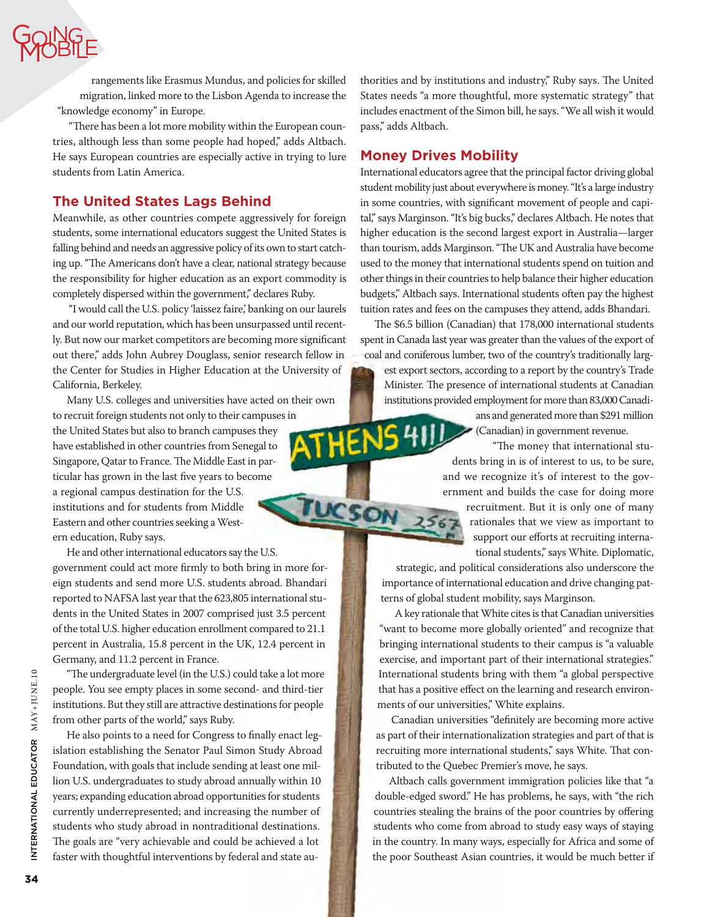

rangements like Erasmus Mundus, and policies for skilled migration, linked more to the Lisbon Agenda to increase the "knowledge economy" in Europe.

 "There has been a lot more mobility within the European countries, although less than some people had hoped," adds Altbach. He says European countries are especially active in trying to lure students from Latin America.

### **The United States Lags Behind**

Meanwhile, as other countries compete aggressively for foreign students, some international educators suggest the United States is falling behind and needs an aggressive policy of its own to start catching up. "The Americans don't have a clear, national strategy because the responsibility for higher education as an export commodity is completely dispersed within the government," declares Ruby.

 "I would call the U.S. policy 'laissez faire,' banking on our laurels and our world reputation, which has been unsurpassed until recently. But now our market competitors are becoming more significant out there," adds John Aubrey Douglass, senior research fellow in the Center for Studies in Higher Education at the University of California, Berkeley.

Many U.S. colleges and universities have acted on their own to recruit foreign students not only to their campuses in the United States but also to branch campuses they have established in other countries from Senegal to Singapore, Qatar to France. The Middle East in particular has grown in the last five years to become a regional campus destination for the U.S. institutions and for students from Middle Eastern and other countries seeking a Western education, Ruby says.

He and other international educators say the U.S. government could act more firmly to both bring in more foreign students and send more U.S. students abroad. Bhandari reported to NAFSA last year that the 623,805 international students in the United States in 2007 comprised just 3.5 percent of the total U.S. higher education enrollment compared to 21.1 percent in Australia, 15.8 percent in the UK, 12.4 percent in Germany, and 11.2 percent in France.

"The undergraduate level (in the U.S.) could take a lot more people. You see empty places in some second- and third-tier institutions. But they still are attractive destinations for people from other parts of the world," says Ruby.

He also points to a need for Congress to finally enact legislation establishing the Senator Paul Simon Study Abroad Foundation, with goals that include sending at least one million U.S. undergraduates to study abroad annually within 10 years; expanding education abroad opportunities for students currently underrepresented; and increasing the number of students who study abroad in nontraditional destinations. The goals are "very achievable and could be achieved a lot faster with thoughtful interventions by federal and state authorities and by institutions and industry," Ruby says. The United States needs "a more thoughtful, more systematic strategy" that includes enactment of the Simon bill, he says. "We all wish it would pass," adds Altbach.

### **Money Drives Mobility**

**THENS41!** 

**UCSON** 

International educators agree that the principal factor driving global student mobility just about everywhere is money. "It's a large industry in some countries, with significant movement of people and capital," says Marginson. "It's big bucks," declares Altbach. He notes that higher education is the second largest export in Australia—larger than tourism, adds Marginson. "The UK and Australia have become used to the money that international students spend on tuition and other things in their countries to help balance their higher education budgets," Altbach says. International students often pay the highest tuition rates and fees on the campuses they attend, adds Bhandari.

The \$6.5 billion (Canadian) that 178,000 international students spent in Canada last year was greater than the values of the export of coal and coniferous lumber, two of the country's traditionally largest export sectors, according to a report by the country's Trade Minister. The presence of international students at Canadian institutions provided employment for more than 83,000 Canadi-

> ans and generated more than \$291 million (Canadian) in government revenue.

 "The money that international students bring in is of interest to us, to be sure, and we recognize it's of interest to the government and builds the case for doing more

recruitment. But it is only one of many rationales that we view as important to support our efforts at recruiting international students," says White. Diplomatic,

strategic, and political considerations also underscore the importance of international education and drive changing patterns of global student mobility, says Marginson.

A key rationale that White cites is that Canadian universities "want to become more globally oriented" and recognize that bringing international students to their campus is "a valuable exercise, and important part of their international strategies." International students bring with them "a global perspective that has a positive effect on the learning and research environments of our universities," White explains.

Canadian universities "definitely are becoming more active as part of their internationalization strategies and part of that is recruiting more international students," says White. That contributed to the Quebec Premier's move, he says.

Altbach calls government immigration policies like that "a double-edged sword." He has problems, he says, with "the rich countries stealing the brains of the poor countries by offering students who come from abroad to study easy ways of staying in the country. In many ways, especially for Africa and some of the poor Southeast Asian countries, it would be much better if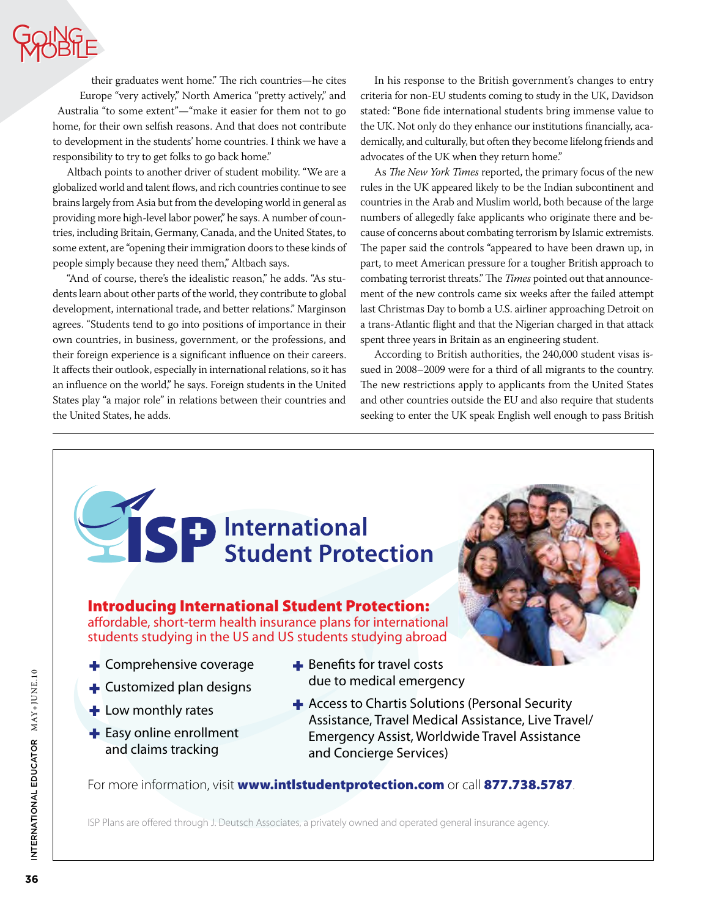# Goi ng Mobile Goi **PROBILE**

their graduates went home." The rich countries—he cites Europe "very actively," North America "pretty actively," and Australia "to some extent"—"make it easier for them not to go home, for their own selfish reasons. And that does not contribute to development in the students' home countries. I think we have a responsibility to try to get folks to go back home."

Altbach points to another driver of student mobility. "We are a globalized world and talent flows, and rich countries continue to see brains largely from Asia but from the developing world in general as providing more high-level labor power," he says. A number of countries, including Britain, Germany, Canada, and the United States, to some extent, are "opening their immigration doors to these kinds of people simply because they need them," Altbach says.

"And of course, there's the idealistic reason," he adds. "As students learn about other parts of the world, they contribute to global development, international trade, and better relations." Marginson agrees. "Students tend to go into positions of importance in their own countries, in business, government, or the professions, and their foreign experience is a significant influence on their careers. It affects their outlook, especially in international relations, so it has an influence on the world," he says. Foreign students in the United States play "a major role" in relations between their countries and the United States, he adds.

In his response to the British government's changes to entry criteria for non-EU students coming to study in the UK, Davidson stated: "Bone fide international students bring immense value to the UK. Not only do they enhance our institutions financially, academically, and culturally, but often they become lifelong friends and advocates of the UK when they return home."

As *The New York Times* reported, the primary focus of the new rules in the UK appeared likely to be the Indian subcontinent and countries in the Arab and Muslim world, both because of the large numbers of allegedly fake applicants who originate there and because of concerns about combating terrorism by Islamic extremists. The paper said the controls "appeared to have been drawn up, in part, to meet American pressure for a tougher British approach to combating terrorist threats." The *Times* pointed out that announcement of the new controls came six weeks after the failed attempt last Christmas Day to bomb a U.S. airliner approaching Detroit on a trans-Atlantic flight and that the Nigerian charged in that attack spent three years in Britain as an engineering student.

According to British authorities, the 240,000 student visas issued in 2008–2009 were for a third of all migrants to the country. The new restrictions apply to applicants from the United States and other countries outside the EU and also require that students seeking to enter the UK speak English well enough to pass British

SP International<br>SP Student Protection

# Introducing International Student Protection:

affordable, short-term health insurance plans for international students studying in the US and US students studying abroad

- **+** Comprehensive coverage
- $\blacktriangle$  Customized plan designs
- $+$  Low monthly rates
- $\blacktriangleright$  Easy online enrollment and claims tracking
- $\div$  Benefits for travel costs due to medical emergency
- Access to Chartis Solutions (Personal Security Assistance, Travel Medical Assistance, Live Travel/ Emergency Assist, Worldwide Travel Assistance and Concierge Services)

For more information, visit www.intistudentprotection.com or call 877.738.5787.

ISP Plans are offered through J. Deutsch Associates, a privately owned and operated general insurance agency.

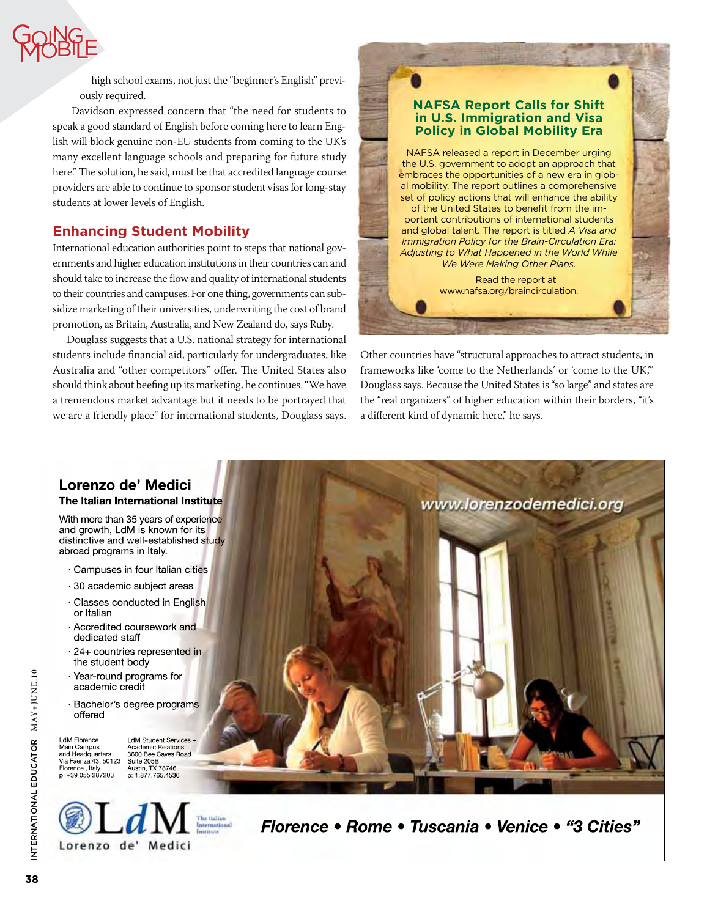

high school exams, not just the "beginner's English" previously required.

Davidson expressed concern that "the need for students to speak a good standard of English before coming here to learn English will block genuine non-EU students from coming to the UK's many excellent language schools and preparing for future study here." The solution, he said, must be that accredited language course providers are able to continue to sponsor student visas for long-stay students at lower levels of English.

# **Enhancing Student Mobility**

International education authorities point to steps that national governments and higher education institutions in their countries can and should take to increase the flow and quality of international students to their countries and campuses. For one thing, governments can subsidize marketing of their universities, underwriting the cost of brand promotion, as Britain, Australia, and New Zealand do, says Ruby.

Douglass suggests that a U.S. national strategy for international students include financial aid, particularly for undergraduates, like Australia and "other competitors" offer. The United States also should think about beefing up its marketing, he continues. "We have a tremendous market advantage but it needs to be portrayed that we are a friendly place" for international students, Douglass says.



Other countries have "structural approaches to attract students, in frameworks like 'come to the Netherlands' or 'come to the UK,'" Douglass says. Because the United States is "so large" and states are the "real organizers" of higher education within their borders, "it's a different kind of dynamic here," he says.



Lorenzo de' Medici

*Florence • Rome • Tuscania • Venice • "3 Cities"*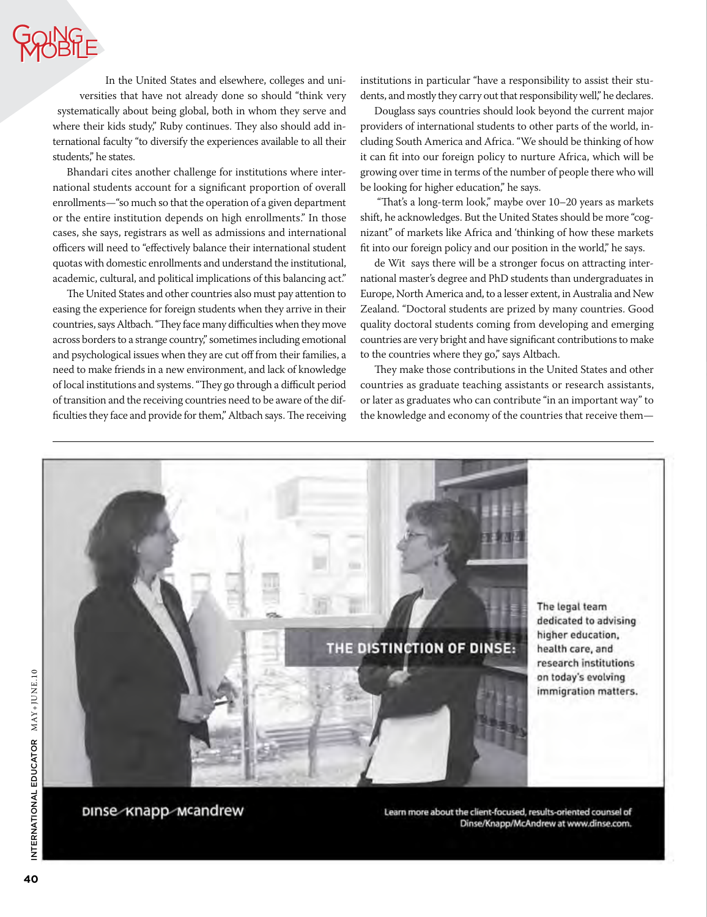## Goi ng Mobile Goi **PROBILE**

In the United States and elsewhere, colleges and universities that have not already done so should "think very systematically about being global, both in whom they serve and where their kids study," Ruby continues. They also should add international faculty "to diversify the experiences available to all their students," he states.

Bhandari cites another challenge for institutions where international students account for a significant proportion of overall enrollments—"so much so that the operation of a given department or the entire institution depends on high enrollments." In those cases, she says, registrars as well as admissions and international officers will need to "effectively balance their international student quotas with domestic enrollments and understand the institutional, academic, cultural, and political implications of this balancing act."

The United States and other countries also must pay attention to easing the experience for foreign students when they arrive in their countries, says Altbach. "They face many difficulties when they move across borders to a strange country," sometimes including emotional and psychological issues when they are cut off from their families, a need to make friends in a new environment, and lack of knowledge of local institutions and systems. "They go through a difficult period of transition and the receiving countries need to be aware of the difficulties they face and provide for them," Altbach says. The receiving

institutions in particular "have a responsibility to assist their students, and mostly they carry out that responsibility well," he declares.

Douglass says countries should look beyond the current major providers of international students to other parts of the world, including South America and Africa. "We should be thinking of how it can fit into our foreign policy to nurture Africa, which will be growing over time in terms of the number of people there who will be looking for higher education," he says.

 "That's a long-term look," maybe over 10–20 years as markets shift, he acknowledges. But the United States should be more "cognizant" of markets like Africa and 'thinking of how these markets fit into our foreign policy and our position in the world," he says.

de Wit says there will be a stronger focus on attracting international master's degree and PhD students than undergraduates in Europe, North America and, to a lesser extent, in Australia and New Zealand. "Doctoral students are prized by many countries. Good quality doctoral students coming from developing and emerging countries are very bright and have significant contributions to make to the countries where they go," says Altbach.

They make those contributions in the United States and other countries as graduate teaching assistants or research assistants, or later as graduates who can contribute "in an important way" to the knowledge and economy of the countries that receive them—



Learn more about the client-focused, results-oriented counsel of Dinse/Knapp/McAndrew at www.dinse.com.

DINSe-Knapp-Mcandrew